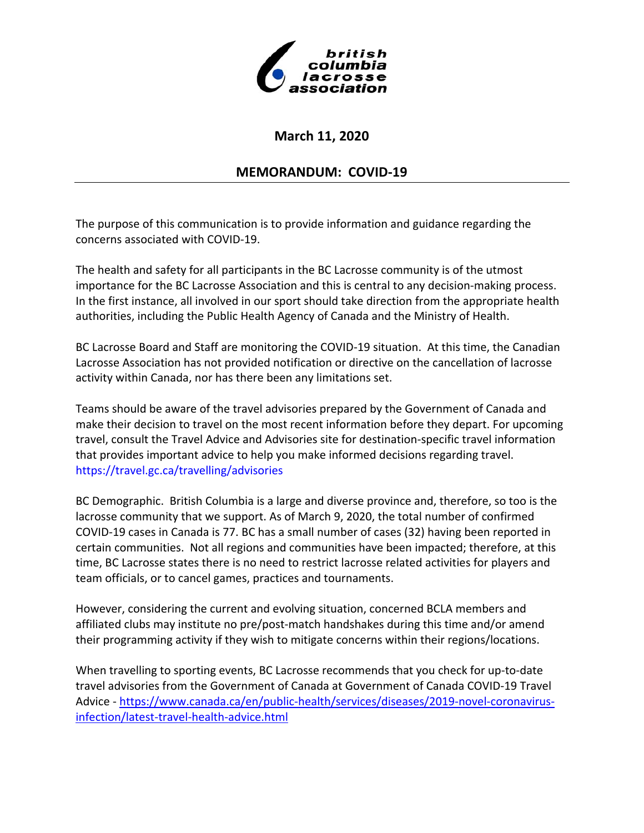

## **March 11, 2020**

## **MEMORANDUM: COVID‐19**

The purpose of this communication is to provide information and guidance regarding the concerns associated with COVID‐19.

The health and safety for all participants in the BC Lacrosse community is of the utmost importance for the BC Lacrosse Association and this is central to any decision-making process. In the first instance, all involved in our sport should take direction from the appropriate health authorities, including the Public Health Agency of Canada and the Ministry of Health.

BC Lacrosse Board and Staff are monitoring the COVID‐19 situation. At this time, the Canadian Lacrosse Association has not provided notification or directive on the cancellation of lacrosse activity within Canada, nor has there been any limitations set.

Teams should be aware of the travel advisories prepared by the Government of Canada and make their decision to travel on the most recent information before they depart. For upcoming travel, consult the Travel Advice and Advisories site for destination‐specific travel information that provides important advice to help you make informed decisions regarding travel. https://travel.gc.ca/travelling/advisories

BC Demographic. British Columbia is a large and diverse province and, therefore, so too is the lacrosse community that we support. As of March 9, 2020, the total number of confirmed COVID‐19 cases in Canada is 77. BC has a small number of cases (32) having been reported in certain communities. Not all regions and communities have been impacted; therefore, at this time, BC Lacrosse states there is no need to restrict lacrosse related activities for players and team officials, or to cancel games, practices and tournaments.

However, considering the current and evolving situation, concerned BCLA members and affiliated clubs may institute no pre/post‐match handshakes during this time and/or amend their programming activity if they wish to mitigate concerns within their regions/locations.

When travelling to sporting events, BC Lacrosse recommends that you check for up‐to‐date travel advisories from the Government of Canada at Government of Canada COVID‐19 Travel Advice ‐ https://www.canada.ca/en/public‐health/services/diseases/2019‐novel‐coronavirus‐ infection/latest‐travel‐health‐advice.html